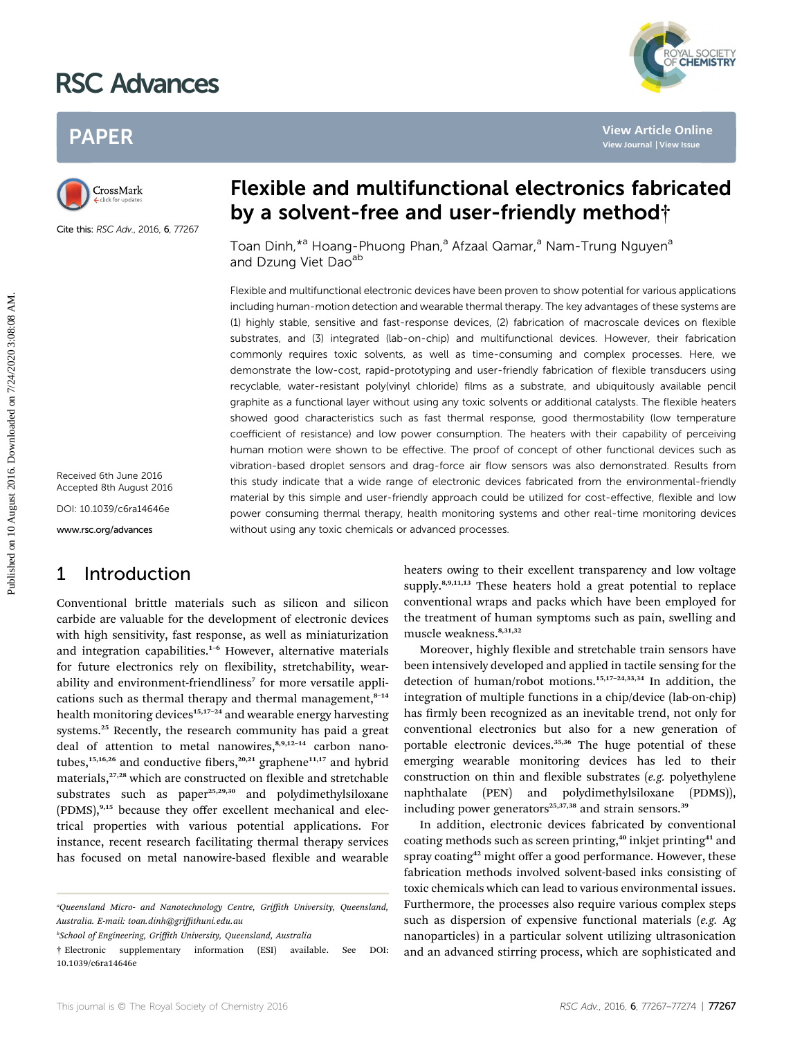# RSC Advances



# PAPER



Cite this: RSC Adv., 2016, 6, 77267

Received 6th June 2016 Accepted 8th August 2016 DOI: 10.1039/c6ra14646e

www.rsc.org/advances

### 1 Introduction

Conventional brittle materials such as silicon and silicon carbide are valuable for the development of electronic devices with high sensitivity, fast response, as well as miniaturization and integration capabilities.<sup>1-6</sup> However, alternative materials for future electronics rely on flexibility, stretchability, wearability and environment-friendliness<sup>7</sup> for more versatile applications such as thermal therapy and thermal management, $8-14$ health monitoring devices<sup>15,17-24</sup> and wearable energy harvesting systems.<sup>25</sup> Recently, the research community has paid a great deal of attention to metal nanowires, $8,9,12-14$  carbon nanotubes,<sup>15,16,26</sup> and conductive fibers,<sup>20,21</sup> graphene<sup>11,17</sup> and hybrid materials,<sup>27,28</sup> which are constructed on flexible and stretchable substrates such as paper<sup>25,29,30</sup> and polydimethylsiloxane (PDMS),<sup>9,15</sup> because they offer excellent mechanical and electrical properties with various potential applications. For instance, recent research facilitating thermal therapy services has focused on metal nanowire-based flexible and wearable

b School of Engineering, Griffith University, Queensland, Australia

# Flexible and multifunctional electronics fabricated by a solvent-free and user-friendly method†

Toan Dinh,<sup>\*a</sup> Hoang-Phuong Phan,<sup>a</sup> Afzaal Qamar,<sup>a</sup> Nam-Trung Nguyen<sup>a</sup> and Dzung Viet Dao<sup>ab</sup>

Flexible and multifunctional electronic devices have been proven to show potential for various applications including human-motion detection and wearable thermal therapy. The key advantages of these systems are (1) highly stable, sensitive and fast-response devices, (2) fabrication of macroscale devices on flexible substrates, and (3) integrated (lab-on-chip) and multifunctional devices. However, their fabrication commonly requires toxic solvents, as well as time-consuming and complex processes. Here, we demonstrate the low-cost, rapid-prototyping and user-friendly fabrication of flexible transducers using recyclable, water-resistant poly(vinyl chloride) films as a substrate, and ubiquitously available pencil graphite as a functional layer without using any toxic solvents or additional catalysts. The flexible heaters showed good characteristics such as fast thermal response, good thermostability (low temperature coefficient of resistance) and low power consumption. The heaters with their capability of perceiving human motion were shown to be effective. The proof of concept of other functional devices such as vibration-based droplet sensors and drag-force air flow sensors was also demonstrated. Results from this study indicate that a wide range of electronic devices fabricated from the environmental-friendly material by this simple and user-friendly approach could be utilized for cost-effective, flexible and low power consuming thermal therapy, health monitoring systems and other real-time monitoring devices without using any toxic chemicals or advanced processes. PAPER<br>
Published **DV a solvent-free and user-friendly method**<br>
Custometer and Dzung Viet Dao<sup>40</sup><br>
Toan Dinh,<sup>24</sup> Hoang-Phuong Phan,<sup>2</sup> Afzaal Camar,<sup>2</sup> Nam-Trung Nguyen<sup>9</sup><br>
and Dzung Viet Dao<sup>40</sup><br>
Fiscible and multifunctio

heaters owing to their excellent transparency and low voltage supply. $8,9,11,13$  These heaters hold a great potential to replace conventional wraps and packs which have been employed for the treatment of human symptoms such as pain, swelling and muscle weakness.8,31,32

Moreover, highly flexible and stretchable train sensors have been intensively developed and applied in tactile sensing for the detection of human/robot motions.15,17–24,33,34 In addition, the integration of multiple functions in a chip/device (lab-on-chip) has firmly been recognized as an inevitable trend, not only for conventional electronics but also for a new generation of portable electronic devices.<sup>35,36</sup> The huge potential of these emerging wearable monitoring devices has led to their construction on thin and flexible substrates  $(e.g.$  polyethylene naphthalate (PEN) and polydimethylsiloxane (PDMS)), including power generators<sup>25,37,38</sup> and strain sensors.<sup>39</sup>

In addition, electronic devices fabricated by conventional coating methods such as screen printing,<sup>40</sup> inkjet printing<sup>41</sup> and spray coating<sup>42</sup> might offer a good performance. However, these fabrication methods involved solvent-based inks consisting of toxic chemicals which can lead to various environmental issues. Furthermore, the processes also require various complex steps such as dispersion of expensive functional materials (e.g. Ag nanoparticles) in a particular solvent utilizing ultrasonication and an advanced stirring process, which are sophisticated and

a Queensland Micro- and Nanotechnology Centre, Griffith University, Queensland, Australia. E-mail: toan.dinh@griffithuni.edu.au

<sup>†</sup> Electronic supplementary information (ESI) available. See DOI: 10.1039/c6ra14646e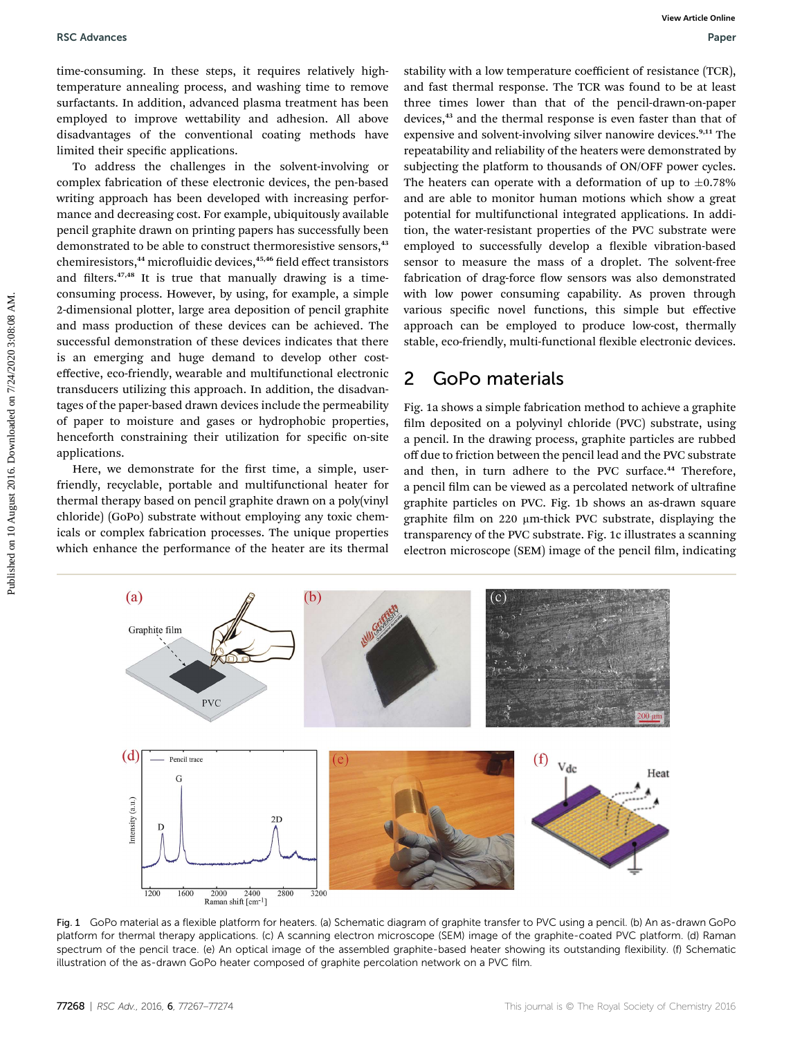time-consuming. In these steps, it requires relatively hightemperature annealing process, and washing time to remove surfactants. In addition, advanced plasma treatment has been employed to improve wettability and adhesion. All above disadvantages of the conventional coating methods have limited their specific applications.

To address the challenges in the solvent-involving or complex fabrication of these electronic devices, the pen-based writing approach has been developed with increasing performance and decreasing cost. For example, ubiquitously available pencil graphite drawn on printing papers has successfully been demonstrated to be able to construct thermoresistive sensors,<sup>43</sup> chemiresistors,<sup>44</sup> microfluidic devices,<sup>45,46</sup> field effect transistors and filters. $47,48$  It is true that manually drawing is a timeconsuming process. However, by using, for example, a simple 2-dimensional plotter, large area deposition of pencil graphite and mass production of these devices can be achieved. The successful demonstration of these devices indicates that there is an emerging and huge demand to develop other costeffective, eco-friendly, wearable and multifunctional electronic transducers utilizing this approach. In addition, the disadvantages of the paper-based drawn devices include the permeability of paper to moisture and gases or hydrophobic properties, henceforth constraining their utilization for specific on-site applications. **EXAMENES CONTROLS:** SCREAM AND THEST SCREAM AND THEST SCREAM AND THEST UNITED CONTROLS: THE CONTROL CONTROLS: THE CONTROL CONTROLS: THE CONTROL CONTROLS: THE CONTROL CONTROLS: THE CONTROL CONTROLS: THE CONTROL CONTROLS: T

Here, we demonstrate for the first time, a simple, userfriendly, recyclable, portable and multifunctional heater for thermal therapy based on pencil graphite drawn on a poly(vinyl chloride) (GoPo) substrate without employing any toxic chemicals or complex fabrication processes. The unique properties which enhance the performance of the heater are its thermal

stability with a low temperature coefficient of resistance (TCR), and fast thermal response. The TCR was found to be at least three times lower than that of the pencil-drawn-on-paper devices,<sup>43</sup> and the thermal response is even faster than that of expensive and solvent-involving silver nanowire devices.<sup>9,11</sup> The repeatability and reliability of the heaters were demonstrated by subjecting the platform to thousands of ON/OFF power cycles. The heaters can operate with a deformation of up to  $\pm 0.78\%$ and are able to monitor human motions which show a great potential for multifunctional integrated applications. In addition, the water-resistant properties of the PVC substrate were employed to successfully develop a flexible vibration-based sensor to measure the mass of a droplet. The solvent-free fabrication of drag-force flow sensors was also demonstrated with low power consuming capability. As proven through various specific novel functions, this simple but effective approach can be employed to produce low-cost, thermally stable, eco-friendly, multi-functional flexible electronic devices.

### 2 GoPo materials

Fig. 1a shows a simple fabrication method to achieve a graphite film deposited on a polyvinyl chloride (PVC) substrate, using a pencil. In the drawing process, graphite particles are rubbed off due to friction between the pencil lead and the PVC substrate and then, in turn adhere to the PVC surface.<sup>44</sup> Therefore, a pencil film can be viewed as a percolated network of ultrafine graphite particles on PVC. Fig. 1b shows an as-drawn square graphite film on 220 µm-thick PVC substrate, displaying the transparency of the PVC substrate. Fig. 1c illustrates a scanning electron microscope (SEM) image of the pencil film, indicating



Fig. 1 GoPo material as a flexible platform for heaters. (a) Schematic diagram of graphite transfer to PVC using a pencil. (b) An as-drawn GoPo platform for thermal therapy applications. (c) A scanning electron microscope (SEM) image of the graphite-coated PVC platform. (d) Raman spectrum of the pencil trace. (e) An optical image of the assembled graphite-based heater showing its outstanding flexibility. (f) Schematic illustration of the as-drawn GoPo heater composed of graphite percolation network on a PVC film.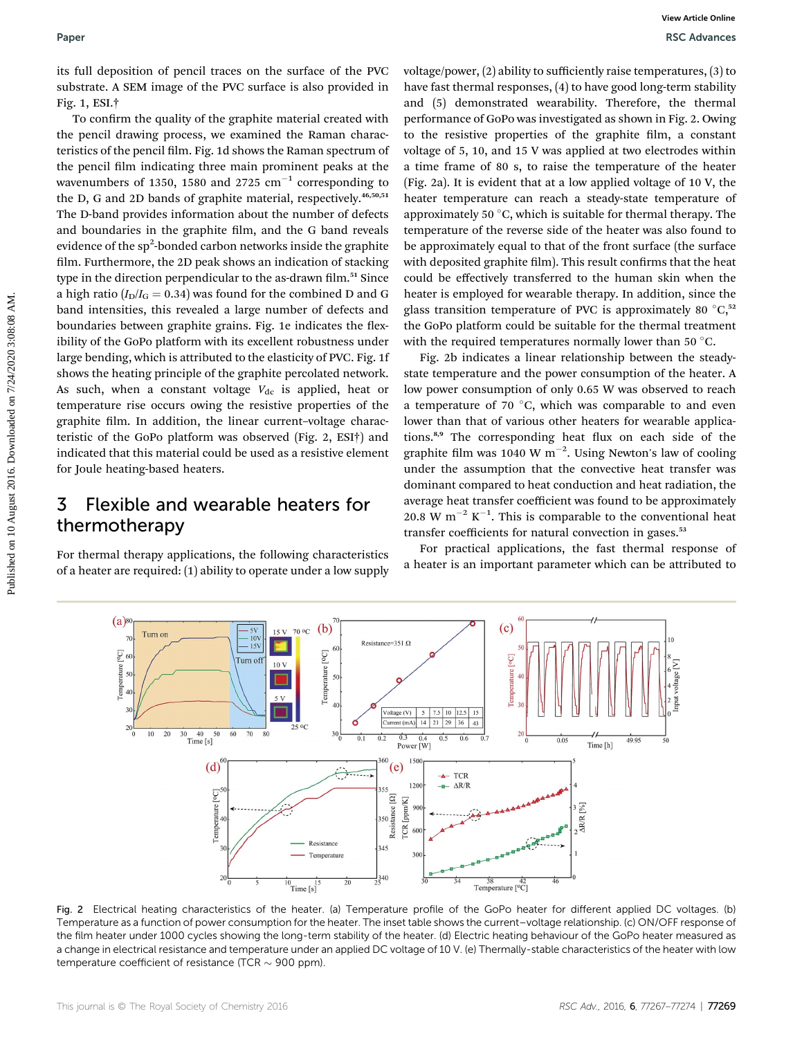its full deposition of pencil traces on the surface of the PVC substrate. A SEM image of the PVC surface is also provided in Fig. 1, ESI.†

To confirm the quality of the graphite material created with the pencil drawing process, we examined the Raman characteristics of the pencil film. Fig. 1d shows the Raman spectrum of the pencil film indicating three main prominent peaks at the wavenumbers of 1350, 1580 and 2725  $\text{cm}^{-1}$  corresponding to the D, G and 2D bands of graphite material, respectively.<sup>46,50,51</sup> The D-band provides information about the number of defects and boundaries in the graphite film, and the G band reveals evidence of the sp<sup>2</sup>-bonded carbon networks inside the graphite film. Furthermore, the 2D peak shows an indication of stacking type in the direction perpendicular to the as-drawn film.<sup>51</sup> Since a high ratio  $(I_D/I_G = 0.34)$  was found for the combined D and G band intensities, this revealed a large number of defects and boundaries between graphite grains. Fig. 1e indicates the flexibility of the GoPo platform with its excellent robustness under large bending, which is attributed to the elasticity of PVC. Fig. 1f shows the heating principle of the graphite percolated network. As such, when a constant voltage  $V_{dc}$  is applied, heat or temperature rise occurs owing the resistive properties of the graphite film. In addition, the linear current-voltage characteristic of the GoPo platform was observed (Fig. 2, ESI†) and indicated that this material could be used as a resistive element for Joule heating-based heaters. Paper<br>
For two sects on the surface of the PVC orbits<br>groover, [2] ability os sufficiently raise cannotes into the maximization<br>
of the subset of the Poissium in the formula response of the DVC subsets and the beams<br>
Fig.

### 3 Flexible and wearable heaters for thermotherapy

For thermal therapy applications, the following characteristics of a heater are required: (1) ability to operate under a low supply

voltage/power, (2) ability to sufficiently raise temperatures, (3) to have fast thermal responses, (4) to have good long-term stability and (5) demonstrated wearability. Therefore, the thermal performance of GoPo was investigated as shown in Fig. 2. Owing to the resistive properties of the graphite film, a constant voltage of 5, 10, and 15 V was applied at two electrodes within a time frame of 80 s, to raise the temperature of the heater (Fig. 2a). It is evident that at a low applied voltage of 10 V, the heater temperature can reach a steady-state temperature of approximately 50 $\degree$ C, which is suitable for thermal therapy. The temperature of the reverse side of the heater was also found to be approximately equal to that of the front surface (the surface with deposited graphite film). This result confirms that the heat could be effectively transferred to the human skin when the heater is employed for wearable therapy. In addition, since the glass transition temperature of PVC is approximately 80 $\degree$ C,<sup>52</sup> the GoPo platform could be suitable for the thermal treatment with the required temperatures normally lower than 50 $\degree$ C.

Fig. 2b indicates a linear relationship between the steadystate temperature and the power consumption of the heater. A low power consumption of only 0.65 W was observed to reach a temperature of 70  $\degree$ C, which was comparable to and even lower than that of various other heaters for wearable applications.<sup>8,9</sup> The corresponding heat flux on each side of the graphite film was 1040 W  $\text{m}^{-2}$ . Using Newton's law of cooling under the assumption that the convective heat transfer was dominant compared to heat conduction and heat radiation, the average heat transfer coefficient was found to be approximately 20.8 W  $m^{-2}$  K<sup>-1</sup>. This is comparable to the conventional heat transfer coefficients for natural convection in gases.<sup>53</sup>

For practical applications, the fast thermal response of a heater is an important parameter which can be attributed to



Fig. 2 Electrical heating characteristics of the heater. (a) Temperature profile of the GoPo heater for different applied DC voltages. (b) Temperature as a function of power consumption for the heater. The inset table shows the current–voltage relationship. (c) ON/OFF response of the film heater under 1000 cycles showing the long-term stability of the heater. (d) Electric heating behaviour of the GoPo heater measured as a change in electrical resistance and temperature under an applied DC voltage of 10 V. (e) Thermally-stable characteristics of the heater with low temperature coefficient of resistance (TCR  $\sim$  900 ppm).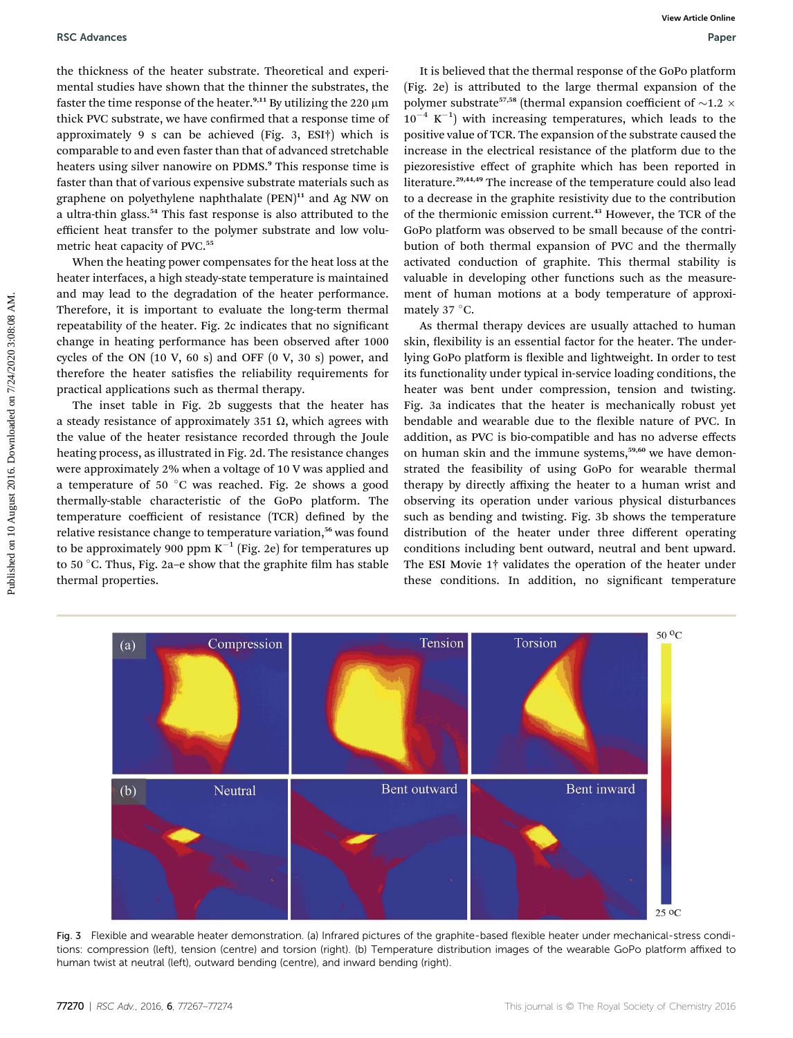the thickness of the heater substrate. Theoretical and experimental studies have shown that the thinner the substrates, the faster the time response of the heater.<sup>9,11</sup> By utilizing the 220  $\mu$ m thick PVC substrate, we have confirmed that a response time of approximately 9 s can be achieved (Fig. 3, ESI†) which is comparable to and even faster than that of advanced stretchable heaters using silver nanowire on PDMS.<sup>9</sup> This response time is faster than that of various expensive substrate materials such as graphene on polyethylene naphthalate  $(PEN)^{11}$  and Ag NW on a ultra-thin glass.<sup>54</sup> This fast response is also attributed to the efficient heat transfer to the polymer substrate and low volumetric heat capacity of PVC.<sup>55</sup>

When the heating power compensates for the heat loss at the heater interfaces, a high steady-state temperature is maintained and may lead to the degradation of the heater performance. Therefore, it is important to evaluate the long-term thermal repeatability of the heater. Fig. 2c indicates that no significant change in heating performance has been observed after 1000 cycles of the ON  $(10 V, 60 s)$  and OFF  $(0 V, 30 s)$  power, and therefore the heater satisfies the reliability requirements for practical applications such as thermal therapy.

The inset table in Fig. 2b suggests that the heater has a steady resistance of approximately 351  $\Omega$ , which agrees with the value of the heater resistance recorded through the Joule heating process, as illustrated in Fig. 2d. The resistance changes were approximately 2% when a voltage of 10 V was applied and a temperature of 50  $^{\circ}$ C was reached. Fig. 2e shows a good thermally-stable characteristic of the GoPo platform. The temperature coefficient of resistance (TCR) defined by the relative resistance change to temperature variation,<sup>56</sup> was found to be approximately 900 ppm  $K^{-1}$  (Fig. 2e) for temperatures up to 50 °C. Thus, Fig. 2a-e show that the graphite film has stable thermal properties.

It is believed that the thermal response of the GoPo platform (Fig. 2e) is attributed to the large thermal expansion of the polymer substrate<sup>57,58</sup> (thermal expansion coefficient of  $\sim$ 1.2  $\times$  $10^{-4}$  K<sup>-1</sup>) with increasing temperatures, which leads to the positive value of TCR. The expansion of the substrate caused the increase in the electrical resistance of the platform due to the piezoresistive effect of graphite which has been reported in literature.29,44,49 The increase of the temperature could also lead to a decrease in the graphite resistivity due to the contribution of the thermionic emission current.<sup>43</sup> However, the TCR of the GoPo platform was observed to be small because of the contribution of both thermal expansion of PVC and the thermally activated conduction of graphite. This thermal stability is valuable in developing other functions such as the measurement of human motions at a body temperature of approximately 37 $\degree$ C.

As thermal therapy devices are usually attached to human skin, flexibility is an essential factor for the heater. The underlying GoPo platform is flexible and lightweight. In order to test its functionality under typical in-service loading conditions, the heater was bent under compression, tension and twisting. Fig. 3a indicates that the heater is mechanically robust yet bendable and wearable due to the flexible nature of PVC. In addition, as PVC is bio-compatible and has no adverse effects on human skin and the immune systems,<sup>59,60</sup> we have demonstrated the feasibility of using GoPo for wearable thermal therapy by directly affixing the heater to a human wrist and observing its operation under various physical disturbances such as bending and twisting. Fig. 3b shows the temperature distribution of the heater under three different operating conditions including bent outward, neutral and bent upward. The ESI Movie 1† validates the operation of the heater under these conditions. In addition, no significant temperature PSC Advantes that the consensuor interesting and experimental and experimental and experimental and experimental and the basebase of the consensus of the basebase of the basebase of the basebase of the basebase of the base



Fig. 3 Flexible and wearable heater demonstration. (a) Infrared pictures of the graphite-based flexible heater under mechanical-stress conditions: compression (left), tension (centre) and torsion (right). (b) Temperature distribution images of the wearable GoPo platform affixed to human twist at neutral (left), outward bending (centre), and inward bending (right).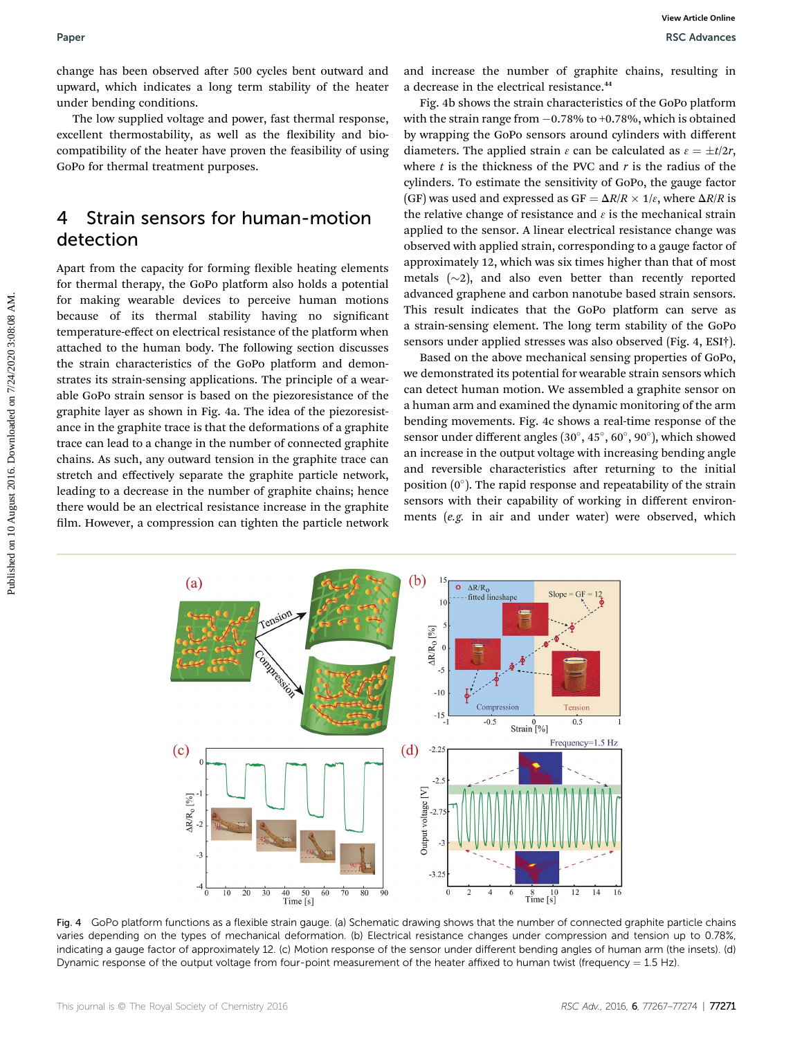change has been observed after 500 cycles bent outward and upward, which indicates a long term stability of the heater under bending conditions.

The low supplied voltage and power, fast thermal response, excellent thermostability, as well as the flexibility and biocompatibility of the heater have proven the feasibility of using GoPo for thermal treatment purposes.

### 4 Strain sensors for human-motion detection

Apart from the capacity for forming flexible heating elements for thermal therapy, the GoPo platform also holds a potential for making wearable devices to perceive human motions because of its thermal stability having no signicant temperature-effect on electrical resistance of the platform when attached to the human body. The following section discusses the strain characteristics of the GoPo platform and demonstrates its strain-sensing applications. The principle of a wearable GoPo strain sensor is based on the piezoresistance of the graphite layer as shown in Fig. 4a. The idea of the piezoresistance in the graphite trace is that the deformations of a graphite trace can lead to a change in the number of connected graphite chains. As such, any outward tension in the graphite trace can stretch and effectively separate the graphite particle network, leading to a decrease in the number of graphite chains; hence there would be an electrical resistance increase in the graphite film. However, a compression can tighten the particle network Paper<br>
Published on the control of the state of the state of the correction of the correction of the computed which indices a long-term and the energy of the beat of the computed online on the energy of the computed onlin

and increase the number of graphite chains, resulting in a decrease in the electrical resistance.<sup>44</sup>

Fig. 4b shows the strain characteristics of the GoPo platform with the strain range from  $-0.78\%$  to  $+0.78\%$ , which is obtained by wrapping the GoPo sensors around cylinders with different diameters. The applied strain  $\varepsilon$  can be calculated as  $\varepsilon = \pm t/2r$ , where  $t$  is the thickness of the PVC and  $r$  is the radius of the cylinders. To estimate the sensitivity of GoPo, the gauge factor (GF) was used and expressed as GF =  $\Delta R/R \times 1/\varepsilon$ , where  $\Delta R/R$  is the relative change of resistance and  $\epsilon$  is the mechanical strain applied to the sensor. A linear electrical resistance change was observed with applied strain, corresponding to a gauge factor of approximately 12, which was six times higher than that of most metals  $(\sim 2)$ , and also even better than recently reported advanced graphene and carbon nanotube based strain sensors. This result indicates that the GoPo platform can serve as a strain-sensing element. The long term stability of the GoPo sensors under applied stresses was also observed (Fig. 4, ESI†).

Based on the above mechanical sensing properties of GoPo, we demonstrated its potential for wearable strain sensors which can detect human motion. We assembled a graphite sensor on a human arm and examined the dynamic monitoring of the arm bending movements. Fig. 4c shows a real-time response of the sensor under different angles  $(30^\circ, 45^\circ, 60^\circ, 90^\circ)$ , which showed an increase in the output voltage with increasing bending angle and reversible characteristics after returning to the initial position  $(0^{\circ})$ . The rapid response and repeatability of the strain sensors with their capability of working in different environments (e.g. in air and under water) were observed, which



Fig. 4 GoPo platform functions as a flexible strain gauge. (a) Schematic drawing shows that the number of connected graphite particle chains varies depending on the types of mechanical deformation. (b) Electrical resistance changes under compression and tension up to 0.78%, indicating a gauge factor of approximately 12. (c) Motion response of the sensor under different bending angles of human arm (the insets). (d) Dynamic response of the output voltage from four-point measurement of the heater affixed to human twist (frequency  $= 1.5$  Hz).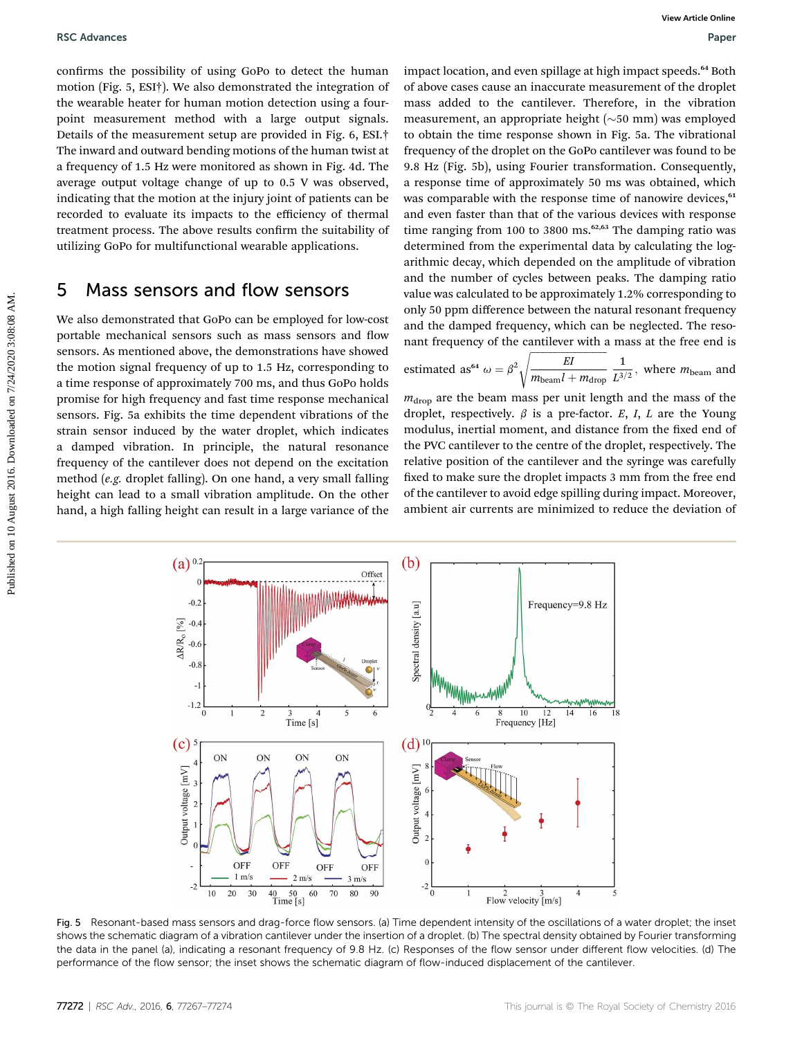confirms the possibility of using GoPo to detect the human motion (Fig. 5, ESI†). We also demonstrated the integration of the wearable heater for human motion detection using a fourpoint measurement method with a large output signals. Details of the measurement setup are provided in Fig. 6, ESI.† The inward and outward bending motions of the human twist at a frequency of 1.5 Hz were monitored as shown in Fig. 4d. The average output voltage change of up to 0.5 V was observed, indicating that the motion at the injury joint of patients can be recorded to evaluate its impacts to the efficiency of thermal treatment process. The above results confirm the suitability of utilizing GoPo for multifunctional wearable applications.

### 5 Mass sensors and flow sensors

We also demonstrated that GoPo can be employed for low-cost portable mechanical sensors such as mass sensors and flow sensors. As mentioned above, the demonstrations have showed the motion signal frequency of up to 1.5 Hz, corresponding to a time response of approximately 700 ms, and thus GoPo holds promise for high frequency and fast time response mechanical sensors. Fig. 5a exhibits the time dependent vibrations of the strain sensor induced by the water droplet, which indicates a damped vibration. In principle, the natural resonance frequency of the cantilever does not depend on the excitation method (e.g. droplet falling). On one hand, a very small falling height can lead to a small vibration amplitude. On the other hand, a high falling height can result in a large variance of the

impact location, and even spillage at high impact speeds.<sup>64</sup> Both of above cases cause an inaccurate measurement of the droplet mass added to the cantilever. Therefore, in the vibration measurement, an appropriate height  $(\sim 50 \text{ mm})$  was employed to obtain the time response shown in Fig. 5a. The vibrational frequency of the droplet on the GoPo cantilever was found to be 9.8 Hz (Fig. 5b), using Fourier transformation. Consequently, a response time of approximately 50 ms was obtained, which was comparable with the response time of nanowire devices,<sup>61</sup> and even faster than that of the various devices with response time ranging from 100 to 3800 ms. $62,63$  The damping ratio was determined from the experimental data by calculating the logarithmic decay, which depended on the amplitude of vibration and the number of cycles between peaks. The damping ratio value was calculated to be approximately 1.2% corresponding to only 50 ppm difference between the natural resonant frequency and the damped frequency, which can be neglected. The resonant frequency of the cantilever with a mass at the free end is **ESC** Advances **EVALUATION** CONFIRENT CONFIRENT CONFIRENT CONFIRENT CONFIRENT CONFIRENT CONFIRENT CONFIRENT CONFIRENT CONFIRENT CONFIRENT CONFIRENT CONFIRENT CONFIRENT CONFIRENT CONFIRENT CONFIRENT CONFIRENT CONFIRENT CON

estimated as<sup>64</sup> 
$$
\omega = \beta^2 \sqrt{\frac{EI}{m_{\text{beam}}l + m_{\text{drop}}}} \frac{1}{L^{3/2}}
$$
, where  $m_{\text{beam}}$  and

 $m_{drop}$  are the beam mass per unit length and the mass of the droplet, respectively.  $\beta$  is a pre-factor. E, I, L are the Young modulus, inertial moment, and distance from the fixed end of the PVC cantilever to the centre of the droplet, respectively. The relative position of the cantilever and the syringe was carefully fixed to make sure the droplet impacts 3 mm from the free end of the cantilever to avoid edge spilling during impact. Moreover, ambient air currents are minimized to reduce the deviation of



Fig. 5 Resonant-based mass sensors and drag-force flow sensors. (a) Time dependent intensity of the oscillations of a water droplet; the inset shows the schematic diagram of a vibration cantilever under the insertion of a droplet. (b) The spectral density obtained by Fourier transforming the data in the panel (a), indicating a resonant frequency of 9.8 Hz. (c) Responses of the flow sensor under different flow velocities. (d) The performance of the flow sensor; the inset shows the schematic diagram of flow-induced displacement of the cantilever.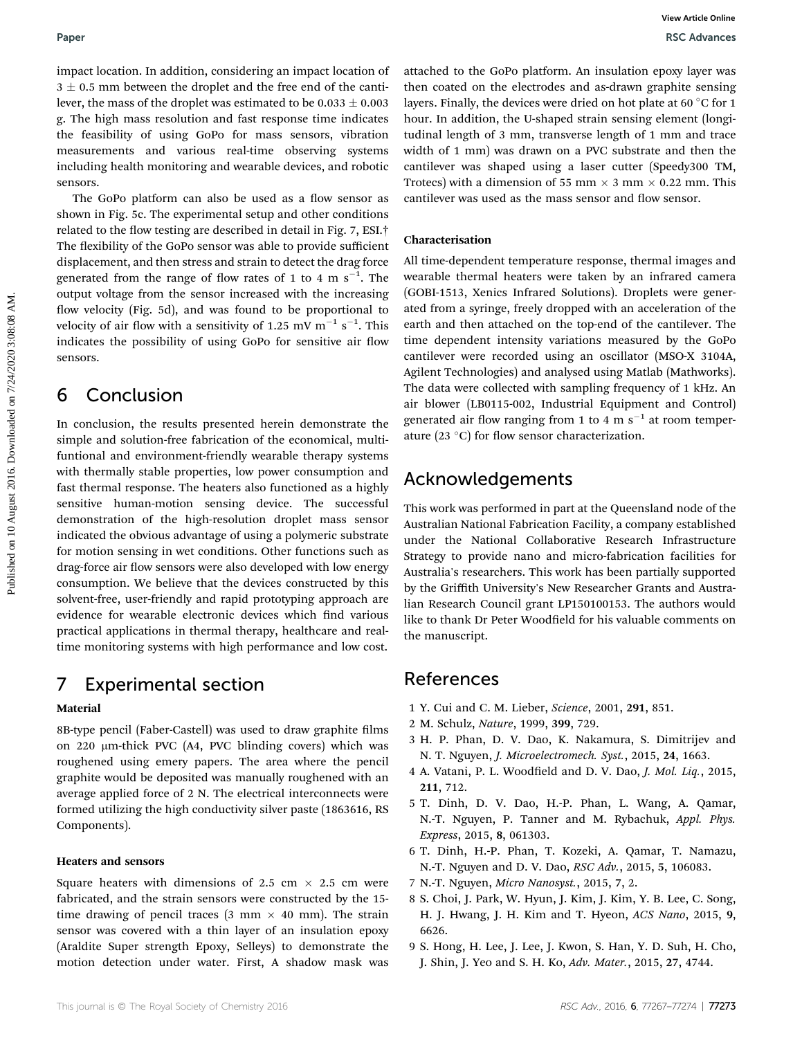impact location. In addition, considering an impact location of  $3 \pm 0.5$  mm between the droplet and the free end of the cantilever, the mass of the droplet was estimated to be  $0.033 \pm 0.003$ g. The high mass resolution and fast response time indicates the feasibility of using GoPo for mass sensors, vibration measurements and various real-time observing systems including health monitoring and wearable devices, and robotic sensors.

The GoPo platform can also be used as a flow sensor as shown in Fig. 5c. The experimental setup and other conditions related to the flow testing are described in detail in Fig. 7, ESI. $\dagger$ The flexibility of the GoPo sensor was able to provide sufficient displacement, and then stress and strain to detect the drag force generated from the range of flow rates of 1 to 4 m  $\rm s^{-1}$ . The output voltage from the sensor increased with the increasing flow velocity (Fig. 5d), and was found to be proportional to velocity of air flow with a sensitivity of 1.25 mV  $\mathrm{m}^{-1} \mathrm{~s}^{-1}.$  This indicates the possibility of using GoPo for sensitive air flow sensors.

### 6 Conclusion

In conclusion, the results presented herein demonstrate the simple and solution-free fabrication of the economical, multifuntional and environment-friendly wearable therapy systems with thermally stable properties, low power consumption and fast thermal response. The heaters also functioned as a highly sensitive human-motion sensing device. The successful demonstration of the high-resolution droplet mass sensor indicated the obvious advantage of using a polymeric substrate for motion sensing in wet conditions. Other functions such as drag-force air flow sensors were also developed with low energy consumption. We believe that the devices constructed by this solvent-free, user-friendly and rapid prototyping approach are evidence for wearable electronic devices which find various practical applications in thermal therapy, healthcare and realtime monitoring systems with high performance and low cost.

## 7 Experimental section

### Material

8B-type pencil (Faber-Castell) was used to draw graphite films on 220 mm-thick PVC (A4, PVC blinding covers) which was roughened using emery papers. The area where the pencil graphite would be deposited was manually roughened with an average applied force of 2 N. The electrical interconnects were formed utilizing the high conductivity silver paste (1863616, RS Components).

### Heaters and sensors

Square heaters with dimensions of 2.5 cm  $\times$  2.5 cm were fabricated, and the strain sensors were constructed by the 15 time drawing of pencil traces (3 mm  $\times$  40 mm). The strain sensor was covered with a thin layer of an insulation epoxy (Araldite Super strength Epoxy, Selleys) to demonstrate the motion detection under water. First, A shadow mask was

attached to the GoPo platform. An insulation epoxy layer was then coated on the electrodes and as-drawn graphite sensing layers. Finally, the devices were dried on hot plate at 60  $\degree$ C for 1 hour. In addition, the U-shaped strain sensing element (longitudinal length of 3 mm, transverse length of 1 mm and trace width of 1 mm) was drawn on a PVC substrate and then the cantilever was shaped using a laser cutter (Speedy300 TM, Trotecs) with a dimension of 55 mm  $\times$  3 mm  $\times$  0.22 mm. This cantilever was used as the mass sensor and flow sensor.

### Characterisation

All time-dependent temperature response, thermal images and wearable thermal heaters were taken by an infrared camera (GOBI-1513, Xenics Infrared Solutions). Droplets were generated from a syringe, freely dropped with an acceleration of the earth and then attached on the top-end of the cantilever. The time dependent intensity variations measured by the GoPo cantilever were recorded using an oscillator (MSO-X 3104A, Agilent Technologies) and analysed using Matlab (Mathworks). The data were collected with sampling frequency of 1 kHz. An air blower (LB0115-002, Industrial Equipment and Control) generated air flow ranging from 1 to 4 m  $s^{-1}$  at room temperature (23  $\degree$ C) for flow sensor characterization. Paper<br>
impact location, In addition, considering an impact location of attached to the Gotte platform. An institution poxy layer was<br>
3.4 -0.8 mm between the dropt and the forecent of the cant of the cant of the calent of

### Acknowledgements

This work was performed in part at the Queensland node of the Australian National Fabrication Facility, a company established under the National Collaborative Research Infrastructure Strategy to provide nano and micro-fabrication facilities for Australia's researchers. This work has been partially supported by the Griffith University's New Researcher Grants and Australian Research Council grant LP150100153. The authors would like to thank Dr Peter Woodfield for his valuable comments on the manuscript.

### References

- 1 Y. Cui and C. M. Lieber, Science, 2001, 291, 851.
- 2 M. Schulz, Nature, 1999, 399, 729.
- 3 H. P. Phan, D. V. Dao, K. Nakamura, S. Dimitrijev and N. T. Nguyen, J. Microelectromech. Syst., 2015, 24, 1663.
- 4 A. Vatani, P. L. Woodfield and D. V. Dao, J. Mol. Liq., 2015, 211, 712.
- 5 T. Dinh, D. V. Dao, H.-P. Phan, L. Wang, A. Qamar, N.-T. Nguyen, P. Tanner and M. Rybachuk, Appl. Phys. Express, 2015, 8, 061303.
- 6 T. Dinh, H.-P. Phan, T. Kozeki, A. Qamar, T. Namazu, N.-T. Nguyen and D. V. Dao, RSC Adv., 2015, 5, 106083.
- 7 N.-T. Nguyen, Micro Nanosyst., 2015, 7, 2.
- 8 S. Choi, J. Park, W. Hyun, J. Kim, J. Kim, Y. B. Lee, C. Song, H. J. Hwang, J. H. Kim and T. Hyeon, ACS Nano, 2015, 9, 6626.
- 9 S. Hong, H. Lee, J. Lee, J. Kwon, S. Han, Y. D. Suh, H. Cho, J. Shin, J. Yeo and S. H. Ko, Adv. Mater., 2015, 27, 4744.